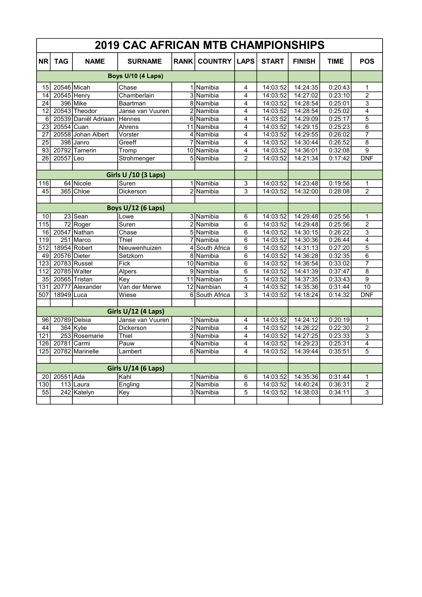| <b>2019 CAC AFRICAN MTB CHAMPIONSHIPS</b> |               |                      |                             |             |                |                |              |               |             |                    |
|-------------------------------------------|---------------|----------------------|-----------------------------|-------------|----------------|----------------|--------------|---------------|-------------|--------------------|
| <b>NR</b>                                 | <b>TAG</b>    | <b>NAME</b>          | <b>SURNAME</b>              | <b>RANK</b> | <b>COUNTRY</b> | <b>LAPS</b>    | <b>START</b> | <b>FINISH</b> | <b>TIME</b> | <b>POS</b>         |
| Boys U/10 (4 Laps)                        |               |                      |                             |             |                |                |              |               |             |                    |
| 15                                        | 20546 Micah   |                      | Chase                       |             | 1 Namibia      | 4              | 14:03:52     | 14:24:35      | 0:20:43     | 1                  |
| 14                                        | 20545 Henry   |                      | Chamberlain                 |             | 3 Namibia      | 4              | 14:03:52     | 14:27:02      | 0:23:10     | $\overline{2}$     |
| 24                                        |               | 396 Mike             | Baartman                    |             | 8 Namibia      | 4              | 14:03:52     | 14:28:54      | 0:25:01     | $\overline{3}$     |
| 12                                        |               | 20543 Theodor        | Janse van Vuuren            |             | 2 Namibia      | 4              | 14:03:52     | 14:28:54      | 0:25:02     | $\overline{4}$     |
| 6                                         |               | 20539 Daniël Adriaan | Hennes                      |             | 6 Namibia      | $\overline{4}$ | 14:03:52     | 14:29:09      | 0:25:17     | $\overline{5}$     |
| 23                                        | 20554 Cuan    |                      | Ahrens                      |             | 11 Namibia     | 4              | 14:03:52     | 14:29:15      | 0:25:23     | $\overline{6}$     |
| 27                                        |               | 20558 Johan Albert   | Vorster                     |             | 4 Namibia      | 4              | 14:03:52     | 14:29:55      | 0:26:02     | $\overline{7}$     |
| 25                                        |               | 398 Janro            | Greeff                      | 7           | Namibia        | 4              | 14:03:52     | 14:30:44      | 0:26:52     | 8                  |
| 93                                        |               | 20792 Tamerin        | Tromp                       |             | 10 Namibia     | 4              | 14:03:52     | 14:36:01      | 0:32:08     | $\overline{9}$     |
| 26                                        | 20557         | Leo                  | Strohmenger                 |             | 5 Namibia      | $\mathfrak{p}$ | 14:03:52     | 14:21:34      | 0:17:42     | <b>DNF</b>         |
|                                           |               |                      |                             |             |                |                |              |               |             |                    |
|                                           |               |                      | <b>Girls U /10 (3 Laps)</b> |             |                |                |              |               |             |                    |
| 116                                       |               | 64 Nicole            | Suren                       |             | 1 Namibia      | 3              | 14:03:52     | 14:23:48      | 0:19:56     | $\mathbf{1}$       |
| 45                                        |               | 365 Chloe            | Dickerson                   |             | 2 Namibia      | 3              | 14:03:52     | 14:32:00      | 0:28:08     | $\overline{2}$     |
|                                           |               |                      |                             |             |                |                |              |               |             |                    |
|                                           |               |                      | <b>Boys U/12 (6 Laps)</b>   |             |                |                |              |               |             |                    |
| 10                                        |               | $23$ Sean            | Lowe                        |             | 3 Namibia      | 6              | 14:03:52     | 14:29:48      | 0:25:56     | 1                  |
| 115                                       |               | 72 Roger             | Suren                       |             | 2 Namibia      | 6              | 14:03:52     | 14:29:48      | 0:25:56     | $\overline{2}$     |
| 16                                        |               | 20547 Nathan         | Chase                       |             | 5 Namibia      | 6              | 14:03:52     | 14:30:15      | 0:26:22     | $\overline{3}$     |
| 119                                       | 251           | Marco                | Thiel                       |             | 7 Namibia      | 6              | 14:03:52     | 14:30:36      | 0:26:44     | 4                  |
| 512                                       |               | 18954 Robert         | Nieuwenhuizen               |             | 4 South Africa | $\overline{6}$ | 14:03:52     | 14:31:13      | 0:27:20     | $\overline{5}$     |
| 49                                        | 20576 Dieter  |                      | Setzkorn                    |             | 8 Namibia      | 6              | 14:03:52     | 14:36:28      | 0:32:35     | 6                  |
| 123                                       |               | 20783 Russel         | Fick                        |             | 10 Namibia     | 6              | 14:03:52     | 14:36:54      | 0:33:02     | $\overline{7}$     |
| 112                                       | 20785 Walter  |                      | <b>Alpers</b>               |             | 9 Namibia      | $\overline{6}$ | 14:03:52     | 14:41:39      | 0:37:47     | $\overline{\bf 8}$ |
| 35                                        | 20565 Tristan |                      | Key                         |             | 11 Namibian    | 5              | 14:03:52     | 14:37:35      | 0:33:43     | 9                  |
| 131                                       | 20777         | Alexander            | Van der Merwe               |             | 12 Nambian     | 4              | 14:03:52     | 14:35:36      | 0:31:44     | $\overline{10}$    |
| 507                                       | 18949 Luca    |                      | Wiese                       |             | 6 South Africa | 3              | 14:03:52     | 14:18:24      | 0:14:32     | <b>DNF</b>         |
|                                           |               |                      |                             |             |                |                |              |               |             |                    |
|                                           |               |                      | Girls U/12 (4 Laps)         |             |                |                |              |               |             |                    |
| 96                                        | 20789 Delsia  |                      | Janse van Vuuren            |             | 1 Namibia      | 4              | 14:03:52     | 14:24:12      | 0:20:19     | 1                  |
| 44                                        |               | 364 Kylie            | <b>Dickerson</b>            |             | 2 Namibia      | 4              | 14:03:52     | 14:26:22      | 0:22:30     | $\overline{2}$     |
| 121                                       |               | 253 Rosemarie        | Thiel                       |             | 3 Namibia      | 4              | 14:03:52     | 14:27:25      | 0:23:33     | $\overline{3}$     |
| 126                                       | 20781         | Carmi                | Pauw                        |             | 4 Namibia      | 4              | 14:03:52     | 14:29:23      | 0:25:31     | $\overline{4}$     |
| 125                                       |               | 20782 Marinelle      | Lambert                     |             | 6 Namibia      | 4              | 14:03:52     | 14:39:44      | 0:35:51     | 5                  |
|                                           |               |                      |                             |             |                |                |              |               |             |                    |
| Girls U/14 (6 Laps)                       |               |                      |                             |             |                |                |              |               |             |                    |
| 20                                        | 20551 Ada     |                      | Kahl                        |             | 1 Namibia      | 6              | 14:03:52     | 14:35:36      | 0:31:44     | 1                  |
| 130                                       |               | 113 Laura            | Engling                     |             | 2 Namibia      | 6              | 14:03:52     | 14:40:24      | 0:36:31     | $\overline{2}$     |
| 55                                        |               | 242 Katelyn          | Key                         |             | 3 Namibia      | 5              | 14:03:52     | 14:38:03      | 0:34:11     | 3                  |
|                                           |               |                      |                             |             |                |                |              |               |             |                    |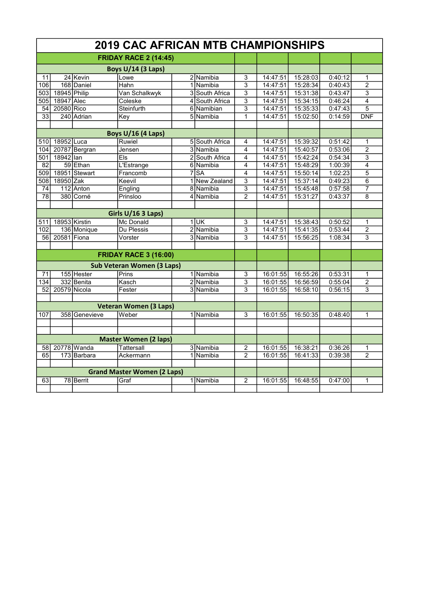| <b>2019 CAC AFRICAN MTB CHAMPIONSHIPS</b> |               |               |                              |                |                |                           |          |          |         |                |  |
|-------------------------------------------|---------------|---------------|------------------------------|----------------|----------------|---------------------------|----------|----------|---------|----------------|--|
| <b>FRIDAY RACE 2 (14:45)</b>              |               |               |                              |                |                |                           |          |          |         |                |  |
| <b>Boys U/14 (3 Laps)</b>                 |               |               |                              |                |                |                           |          |          |         |                |  |
| 11                                        |               | 24 Kevin      | Lowe                         |                | 2 Namibia      | 3                         | 14:47:51 | 15:28:03 | 0:40:12 | 1              |  |
| 106                                       |               | 168 Daniel    | Hahn                         |                | 1 Namibia      | $\overline{\overline{3}}$ | 14:47:51 | 15:28:34 | 0:40:43 | $\overline{2}$ |  |
| 503                                       | 18945 Philip  |               | Van Schalkwyk                |                | 3 South Africa | 3                         | 14:47:51 | 15:31:38 | 0:43:47 | 3              |  |
| 505                                       | 18947 Alec    |               | Coleske                      |                | 4 South Africa | 3                         | 14:47:51 | 15:34:15 | 0:46:24 | 4              |  |
| 54                                        | 20580 Rico    |               | Steinfurth                   |                | 6 Namibian     | $\overline{3}$            | 14:47:51 | 15:35:33 | 0:47:43 | $\overline{5}$ |  |
| 33                                        |               | 240 Adrian    | Key                          |                | 5 Namibia      | 1                         | 14:47:51 | 15:02:50 | 0:14:59 | <b>DNF</b>     |  |
|                                           |               |               |                              |                |                |                           |          |          |         |                |  |
|                                           |               |               | <b>Boys U/16 (4 Laps)</b>    |                |                |                           |          |          |         |                |  |
| 510                                       | 18952 Luca    |               | Ruwiel                       |                | 5 South Africa | 4                         | 14:47:51 | 15:39:32 | 0:51:42 | 1              |  |
| 104                                       |               | 20787 Bergran | Jensen                       |                | 3 Namibia      | 4                         | 14:47:51 | 15:40:57 | 0:53:06 | $\overline{2}$ |  |
| 501                                       | 18942 lan     |               | Els                          |                | 2 South Africa | 4                         | 14:47:51 | 15:42:24 | 0:54:34 | 3              |  |
| 82                                        |               | 59 Ethan      | <b>L'Estrange</b>            |                | 6 Namibia      | 4                         | 14:47:51 | 15:48:29 | 1:00:39 | $\overline{4}$ |  |
| 509                                       |               | 18951 Stewart | Francomb                     |                | $7$ SA         | 4                         | 14:47:51 | 15:50:14 | 1:02:23 | 5              |  |
| $\overline{508}$                          | 18950 Zak     |               | Keevil                       |                | 1 New Zealand  | 3                         | 14:47:51 | 15:37:14 | 0:49:23 | 6              |  |
| 74                                        |               | $112$ Anton   | Engling                      |                | 8 Namibia      | $\overline{\mathbf{3}}$   | 14:47:51 | 15:45:48 | 0:57:58 | $\overline{7}$ |  |
| 78                                        |               | 380 Corné     | Prinsloo                     |                | 4 Namibia      | $\overline{2}$            | 14:47:51 | 15:31:27 | 0:43:37 | 8              |  |
|                                           |               |               |                              |                |                |                           |          |          |         |                |  |
|                                           |               |               | Girls U/16 3 Laps)           |                |                |                           |          |          |         |                |  |
| 511                                       | 18953 Kirstin |               | <b>Mc Donald</b>             |                | $1$ UK         | 3                         | 14:47:51 | 15:38:43 | 0:50:52 | 1              |  |
| 102                                       |               | 136 Monique   | Du Plessis                   |                | 2 Namibia      | 3                         | 14:47:51 | 15:41:35 | 0:53:44 | $\overline{2}$ |  |
| 56                                        | 20581 Fiona   |               | Vorster                      | $\overline{3}$ | Namibia        | 3                         | 14:47:51 | 15:56:25 | 1:08:34 | 3              |  |
|                                           |               |               |                              |                |                |                           |          |          |         |                |  |
|                                           |               |               | <b>FRIDAY RACE 3 (16:00)</b> |                |                |                           |          |          |         |                |  |
| <b>Sub Veteran Women (3 Laps)</b>         |               |               |                              |                |                |                           |          |          |         |                |  |
| 71                                        |               | 155 Hester    | Prins                        |                | 1 Namibia      | 3                         | 16:01:55 | 16:55:26 | 0:53:31 | 1              |  |
| 134                                       |               | 332 Benita    | Kasch                        |                | 2 Namibia      | 3                         | 16:01:55 | 16:56:59 | 0:55:04 | $\overline{2}$ |  |
| 52                                        | 20579 Nicola  |               | Fester                       |                | 3 Namibia      | 3                         | 16:01:55 | 16:58:10 | 0:56:15 | 3              |  |
|                                           |               |               |                              |                |                |                           |          |          |         |                |  |
| <b>Veteran Women (3 Laps)</b>             |               |               |                              |                |                |                           |          |          |         |                |  |
| 107                                       |               | 358 Genevieve | Weber                        |                | 1 Namibia      | 3                         | 16:01:55 | 16:50:35 | 0:48:40 | 1              |  |
|                                           |               |               |                              |                |                |                           |          |          |         |                |  |
|                                           |               |               |                              |                |                |                           |          |          |         |                |  |
| <b>Master Women (2 laps)</b>              |               |               |                              |                |                |                           |          |          |         |                |  |
| 58                                        |               | 20778 Wanda   | <b>Tattersall</b>            |                | 3 Namibia      | $\overline{2}$            | 16:01:55 | 16:38:21 | 0:36:26 | 1              |  |
| 65                                        |               | 173 Barbara   | Ackermann                    |                | 1 Namibia      | 2                         | 16:01:55 | 16:41:33 | 0:39:38 | 2              |  |
|                                           |               |               |                              |                |                |                           |          |          |         |                |  |
| <b>Grand Master Women (2 Laps)</b>        |               |               |                              |                |                |                           |          |          |         |                |  |
| 63                                        |               | 78 Berrit     | Graf                         |                | 1 Namibia      | $\overline{2}$            | 16:01:55 | 16:48:55 | 0:47:00 | $\mathbf{1}$   |  |
|                                           |               |               |                              |                |                |                           |          |          |         |                |  |